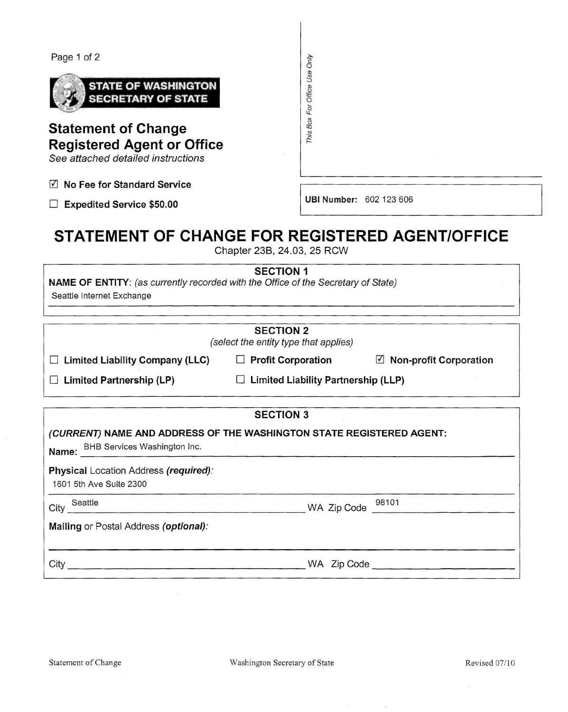## Page 1 of 2



**Statement of Change Registered Agent or Office**

*See attached detai/ed instructions*

o **No Fee for Standard Service**

□ **Expedited Service \$50.00** I UBINumber: 602 123 606

This Box For Office Use Only

## **STATEMENT OF CHANGE FOR REGISTERED AGENT/OFFICE**

Chapter 238, 24.03, 25 RCW

**SECTION 1**

**NAME OF ENTITY:** (as *currently recorded with the Office of the Secretary of State)*

Seattle Internet Exchange

| <b>SECTION 2</b><br>(select the entity type that applies)                                                  |                                          |                                        |  |  |  |  |
|------------------------------------------------------------------------------------------------------------|------------------------------------------|----------------------------------------|--|--|--|--|
| <b>Limited Liability Company (LLC)</b>                                                                     | <b>Profit Corporation</b>                | $\triangledown$ Non-profit Corporation |  |  |  |  |
| <b>Limited Partnership (LP)</b>                                                                            | Limited Liability Partnership (LLP)<br>Ш |                                        |  |  |  |  |
| <b>SECTION 3</b>                                                                                           |                                          |                                        |  |  |  |  |
| (CURRENT) NAME AND ADDRESS OF THE WASHINGTON STATE REGISTERED AGENT:<br>Name: BHB Services Washington Inc. |                                          |                                        |  |  |  |  |
| Physical Location Address (required):<br>1601 5th Ave Suite 2300                                           |                                          |                                        |  |  |  |  |
| Seattle<br>City                                                                                            | WA Zip Code                              | 98101                                  |  |  |  |  |
| Mailing or Postal Address (optional):                                                                      |                                          |                                        |  |  |  |  |
| City                                                                                                       | WA Zip Code                              |                                        |  |  |  |  |